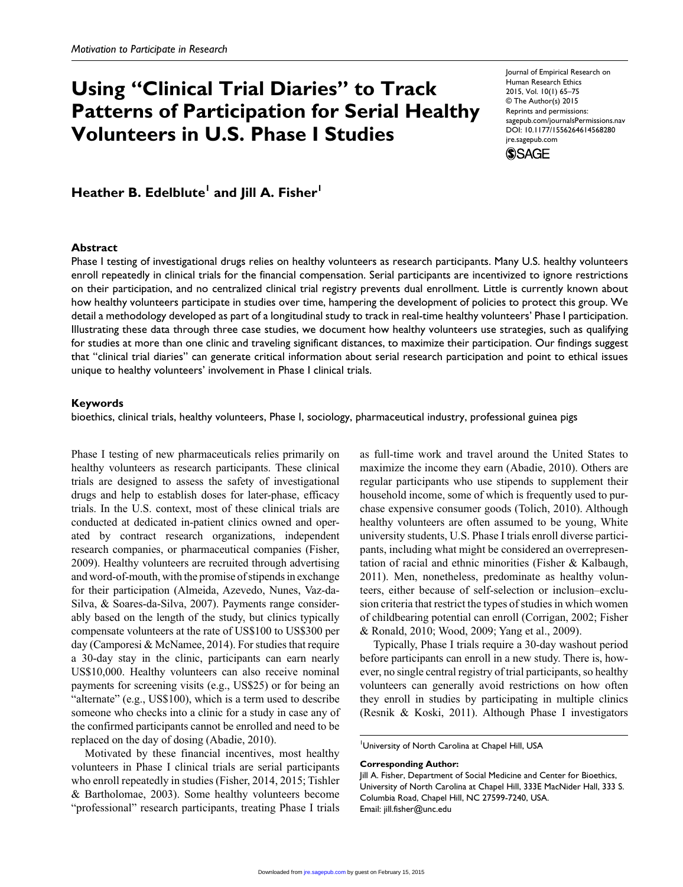# **Using "Clinical Trial Diaries" to Track Patterns of Participation for Serial Healthy Volunteers in U.S. Phase I Studies**

Journal of Empirical Research on Human Research Ethics 2015, Vol. 10(1) 65–75 © The Author(s) 2015 Reprints and permissions: sagepub.com/journalsPermissions.nav DOI: 10.1177/1556264614568280 jre.sagepub.com



 $\bm{\mathsf{H}}$ eather  $\bm{\mathsf{B}}$ . Edelblute<sup>1</sup> and Jill A. Fisher<sup>1</sup>

#### **Abstract**

Phase I testing of investigational drugs relies on healthy volunteers as research participants. Many U.S. healthy volunteers enroll repeatedly in clinical trials for the financial compensation. Serial participants are incentivized to ignore restrictions on their participation, and no centralized clinical trial registry prevents dual enrollment. Little is currently known about how healthy volunteers participate in studies over time, hampering the development of policies to protect this group. We detail a methodology developed as part of a longitudinal study to track in real-time healthy volunteers' Phase I participation. Illustrating these data through three case studies, we document how healthy volunteers use strategies, such as qualifying for studies at more than one clinic and traveling significant distances, to maximize their participation. Our findings suggest that "clinical trial diaries" can generate critical information about serial research participation and point to ethical issues unique to healthy volunteers' involvement in Phase I clinical trials.

#### **Keywords**

bioethics, clinical trials, healthy volunteers, Phase I, sociology, pharmaceutical industry, professional guinea pigs

Phase I testing of new pharmaceuticals relies primarily on healthy volunteers as research participants. These clinical trials are designed to assess the safety of investigational drugs and help to establish doses for later-phase, efficacy trials. In the U.S. context, most of these clinical trials are conducted at dedicated in-patient clinics owned and operated by contract research organizations, independent research companies, or pharmaceutical companies (Fisher, 2009). Healthy volunteers are recruited through advertising and word-of-mouth, with the promise of stipends in exchange for their participation (Almeida, Azevedo, Nunes, Vaz-da-Silva, & Soares-da-Silva, 2007). Payments range considerably based on the length of the study, but clinics typically compensate volunteers at the rate of US\$100 to US\$300 per day (Camporesi & McNamee, 2014). For studies that require a 30-day stay in the clinic, participants can earn nearly US\$10,000. Healthy volunteers can also receive nominal payments for screening visits (e.g., US\$25) or for being an "alternate" (e.g., US\$100), which is a term used to describe someone who checks into a clinic for a study in case any of the confirmed participants cannot be enrolled and need to be replaced on the day of dosing (Abadie, 2010).

Motivated by these financial incentives, most healthy volunteers in Phase I clinical trials are serial participants who enroll repeatedly in studies (Fisher, 2014, 2015; Tishler & Bartholomae, 2003). Some healthy volunteers become "professional" research participants, treating Phase I trials as full-time work and travel around the United States to maximize the income they earn (Abadie, 2010). Others are regular participants who use stipends to supplement their household income, some of which is frequently used to purchase expensive consumer goods (Tolich, 2010). Although healthy volunteers are often assumed to be young, White university students, U.S. Phase I trials enroll diverse participants, including what might be considered an overrepresentation of racial and ethnic minorities (Fisher & Kalbaugh, 2011). Men, nonetheless, predominate as healthy volunteers, either because of self-selection or inclusion–exclusion criteria that restrict the types of studies in which women of childbearing potential can enroll (Corrigan, 2002; Fisher & Ronald, 2010; Wood, 2009; Yang et al., 2009).

Typically, Phase I trials require a 30-day washout period before participants can enroll in a new study. There is, however, no single central registry of trial participants, so healthy volunteers can generally avoid restrictions on how often they enroll in studies by participating in multiple clinics (Resnik & Koski, 2011). Although Phase I investigators

#### **Corresponding Author:**

<sup>&</sup>lt;sup>1</sup>University of North Carolina at Chapel Hill, USA

Jill A. Fisher, Department of Social Medicine and Center for Bioethics, University of North Carolina at Chapel Hill, 333E MacNider Hall, 333 S. Columbia Road, Chapel Hill, NC 27599-7240, USA. Email: [jill.fisher@unc.edu](mailto:jill.fisher@unc.edu)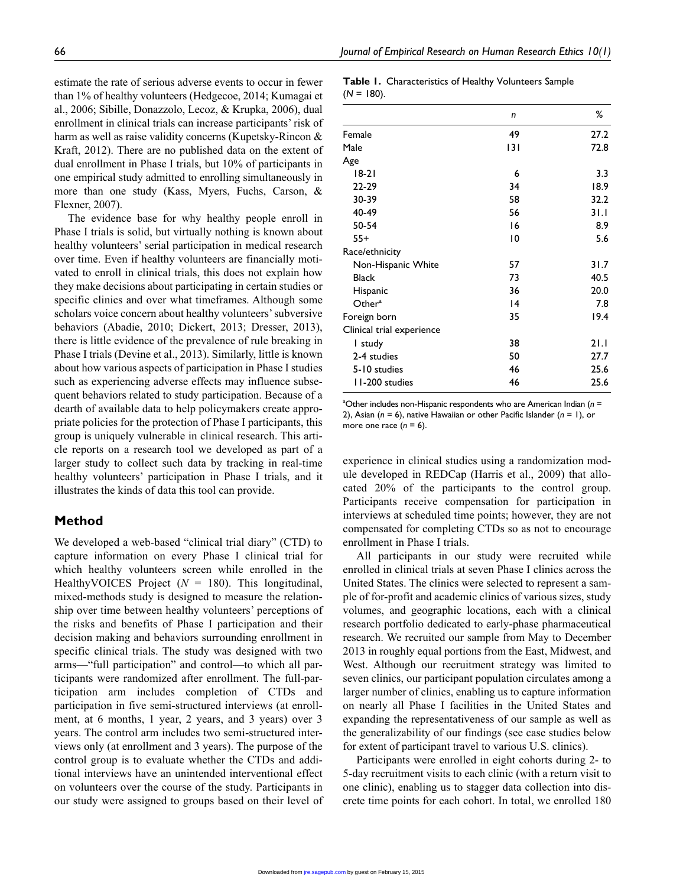estimate the rate of serious adverse events to occur in fewer than 1% of healthy volunteers (Hedgecoe, 2014; Kumagai et al., 2006; Sibille, Donazzolo, Lecoz, & Krupka, 2006), dual enrollment in clinical trials can increase participants' risk of harm as well as raise validity concerns (Kupetsky-Rincon & Kraft, 2012). There are no published data on the extent of dual enrollment in Phase I trials, but 10% of participants in one empirical study admitted to enrolling simultaneously in more than one study (Kass, Myers, Fuchs, Carson, & Flexner, 2007).

The evidence base for why healthy people enroll in Phase I trials is solid, but virtually nothing is known about healthy volunteers' serial participation in medical research over time. Even if healthy volunteers are financially motivated to enroll in clinical trials, this does not explain how they make decisions about participating in certain studies or specific clinics and over what timeframes. Although some scholars voice concern about healthy volunteers' subversive behaviors (Abadie, 2010; Dickert, 2013; Dresser, 2013), there is little evidence of the prevalence of rule breaking in Phase I trials (Devine et al., 2013). Similarly, little is known about how various aspects of participation in Phase I studies such as experiencing adverse effects may influence subsequent behaviors related to study participation. Because of a dearth of available data to help policymakers create appropriate policies for the protection of Phase I participants, this group is uniquely vulnerable in clinical research. This article reports on a research tool we developed as part of a larger study to collect such data by tracking in real-time healthy volunteers' participation in Phase I trials, and it illustrates the kinds of data this tool can provide.

## **Method**

We developed a web-based "clinical trial diary" (CTD) to capture information on every Phase I clinical trial for which healthy volunteers screen while enrolled in the HealthyVOICES Project (*N* = 180). This longitudinal, mixed-methods study is designed to measure the relationship over time between healthy volunteers' perceptions of the risks and benefits of Phase I participation and their decision making and behaviors surrounding enrollment in specific clinical trials. The study was designed with two arms—"full participation" and control—to which all participants were randomized after enrollment. The full-participation arm includes completion of CTDs and participation in five semi-structured interviews (at enrollment, at 6 months, 1 year, 2 years, and 3 years) over 3 years. The control arm includes two semi-structured interviews only (at enrollment and 3 years). The purpose of the control group is to evaluate whether the CTDs and additional interviews have an unintended interventional effect on volunteers over the course of the study. Participants in our study were assigned to groups based on their level of **Table 1.** Characteristics of Healthy Volunteers Sample  $(N = 180)$ .

|                           | n  | %    |
|---------------------------|----|------|
| Female                    | 49 | 27.2 |
| Male                      | 3  | 72.8 |
| Age                       |    |      |
| $18-21$                   | 6  | 3.3  |
| 22-29                     | 34 | 18.9 |
| 30-39                     | 58 | 32.2 |
| 40-49                     | 56 | 31.1 |
| 50-54                     | 16 | 8.9  |
| $55+$                     | 10 | 5.6  |
| Race/ethnicity            |    |      |
| Non-Hispanic White        | 57 | 31.7 |
| <b>Black</b>              | 73 | 40.5 |
| Hispanic                  | 36 | 20.0 |
| Other <sup>a</sup>        | 4  | 7.8  |
| Foreign born              | 35 | 19.4 |
| Clinical trial experience |    |      |
| l study                   | 38 | 21.1 |
| 2-4 studies               | 50 | 27.7 |
| 5-10 studies              | 46 | 25.6 |
| 11-200 studies            | 46 | 25.6 |

a Other includes non-Hispanic respondents who are American Indian (*n* = 2), Asian (*n* = 6), native Hawaiian or other Pacific Islander (*n* = 1), or more one race  $(n = 6)$ .

experience in clinical studies using a randomization module developed in REDCap (Harris et al., 2009) that allocated 20% of the participants to the control group. Participants receive compensation for participation in interviews at scheduled time points; however, they are not compensated for completing CTDs so as not to encourage enrollment in Phase I trials.

All participants in our study were recruited while enrolled in clinical trials at seven Phase I clinics across the United States. The clinics were selected to represent a sample of for-profit and academic clinics of various sizes, study volumes, and geographic locations, each with a clinical research portfolio dedicated to early-phase pharmaceutical research. We recruited our sample from May to December 2013 in roughly equal portions from the East, Midwest, and West. Although our recruitment strategy was limited to seven clinics, our participant population circulates among a larger number of clinics, enabling us to capture information on nearly all Phase I facilities in the United States and expanding the representativeness of our sample as well as the generalizability of our findings (see case studies below for extent of participant travel to various U.S. clinics).

Participants were enrolled in eight cohorts during 2- to 5-day recruitment visits to each clinic (with a return visit to one clinic), enabling us to stagger data collection into discrete time points for each cohort. In total, we enrolled 180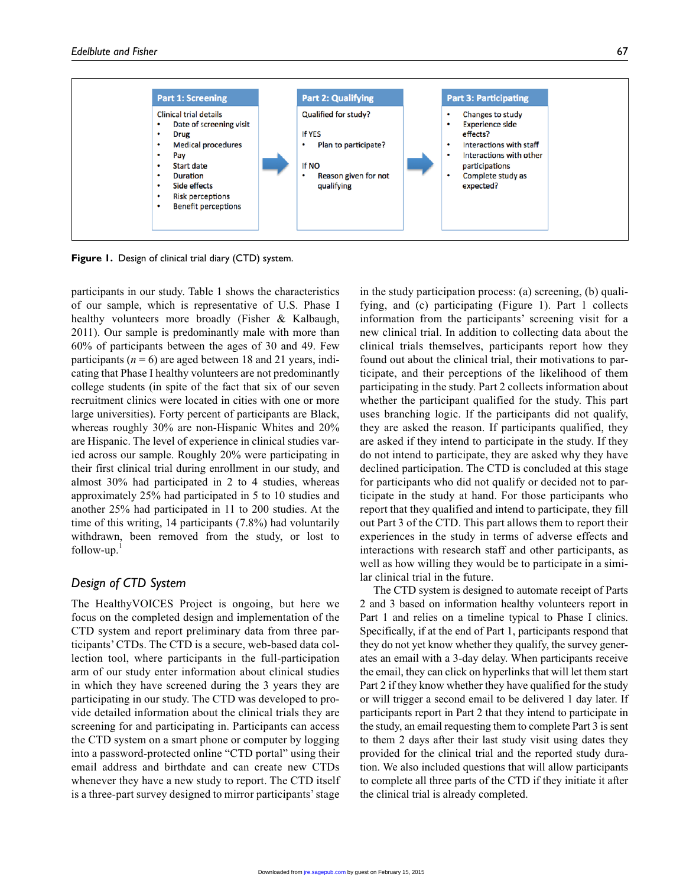

**Figure 1.** Design of clinical trial diary (CTD) system.

participants in our study. Table 1 shows the characteristics of our sample, which is representative of U.S. Phase I healthy volunteers more broadly (Fisher & Kalbaugh, 2011). Our sample is predominantly male with more than 60% of participants between the ages of 30 and 49. Few participants ( $n = 6$ ) are aged between 18 and 21 years, indicating that Phase I healthy volunteers are not predominantly college students (in spite of the fact that six of our seven recruitment clinics were located in cities with one or more large universities). Forty percent of participants are Black, whereas roughly 30% are non-Hispanic Whites and 20% are Hispanic. The level of experience in clinical studies varied across our sample. Roughly 20% were participating in their first clinical trial during enrollment in our study, and almost 30% had participated in 2 to 4 studies, whereas approximately 25% had participated in 5 to 10 studies and another 25% had participated in 11 to 200 studies. At the time of this writing, 14 participants (7.8%) had voluntarily withdrawn, been removed from the study, or lost to  $follow-up.$ <sup>1</sup>

## *Design of CTD System*

The HealthyVOICES Project is ongoing, but here we focus on the completed design and implementation of the CTD system and report preliminary data from three participants' CTDs. The CTD is a secure, web-based data collection tool, where participants in the full-participation arm of our study enter information about clinical studies in which they have screened during the 3 years they are participating in our study. The CTD was developed to provide detailed information about the clinical trials they are screening for and participating in. Participants can access the CTD system on a smart phone or computer by logging into a password-protected online "CTD portal" using their email address and birthdate and can create new CTDs whenever they have a new study to report. The CTD itself is a three-part survey designed to mirror participants' stage

in the study participation process: (a) screening, (b) qualifying, and (c) participating (Figure 1). Part 1 collects information from the participants' screening visit for a new clinical trial. In addition to collecting data about the clinical trials themselves, participants report how they found out about the clinical trial, their motivations to participate, and their perceptions of the likelihood of them participating in the study. Part 2 collects information about whether the participant qualified for the study. This part uses branching logic. If the participants did not qualify, they are asked the reason. If participants qualified, they are asked if they intend to participate in the study. If they do not intend to participate, they are asked why they have declined participation. The CTD is concluded at this stage for participants who did not qualify or decided not to participate in the study at hand. For those participants who report that they qualified and intend to participate, they fill out Part 3 of the CTD. This part allows them to report their experiences in the study in terms of adverse effects and interactions with research staff and other participants, as well as how willing they would be to participate in a similar clinical trial in the future.

The CTD system is designed to automate receipt of Parts 2 and 3 based on information healthy volunteers report in Part 1 and relies on a timeline typical to Phase I clinics. Specifically, if at the end of Part 1, participants respond that they do not yet know whether they qualify, the survey generates an email with a 3-day delay. When participants receive the email, they can click on hyperlinks that will let them start Part 2 if they know whether they have qualified for the study or will trigger a second email to be delivered 1 day later. If participants report in Part 2 that they intend to participate in the study, an email requesting them to complete Part 3 is sent to them 2 days after their last study visit using dates they provided for the clinical trial and the reported study duration. We also included questions that will allow participants to complete all three parts of the CTD if they initiate it after the clinical trial is already completed.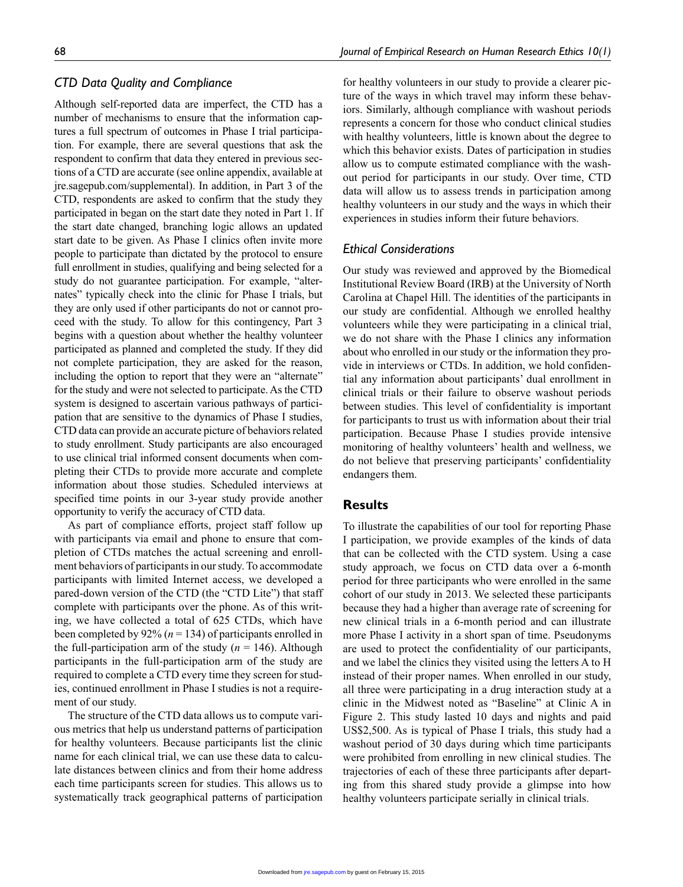## *CTD Data Quality and Compliance*

Although self-reported data are imperfect, the CTD has a number of mechanisms to ensure that the information captures a full spectrum of outcomes in Phase I trial participation. For example, there are several questions that ask the respondent to confirm that data they entered in previous sections of a CTD are accurate (see online appendix, available at jre.sagepub.com/supplemental). In addition, in Part 3 of the CTD, respondents are asked to confirm that the study they participated in began on the start date they noted in Part 1. If the start date changed, branching logic allows an updated start date to be given. As Phase I clinics often invite more people to participate than dictated by the protocol to ensure full enrollment in studies, qualifying and being selected for a study do not guarantee participation. For example, "alternates" typically check into the clinic for Phase I trials, but they are only used if other participants do not or cannot proceed with the study. To allow for this contingency, Part 3 begins with a question about whether the healthy volunteer participated as planned and completed the study. If they did not complete participation, they are asked for the reason, including the option to report that they were an "alternate" for the study and were not selected to participate. As the CTD system is designed to ascertain various pathways of participation that are sensitive to the dynamics of Phase I studies, CTD data can provide an accurate picture of behaviors related to study enrollment. Study participants are also encouraged to use clinical trial informed consent documents when completing their CTDs to provide more accurate and complete information about those studies. Scheduled interviews at specified time points in our 3-year study provide another opportunity to verify the accuracy of CTD data.

As part of compliance efforts, project staff follow up with participants via email and phone to ensure that completion of CTDs matches the actual screening and enrollment behaviors of participants in our study. To accommodate participants with limited Internet access, we developed a pared-down version of the CTD (the "CTD Lite") that staff complete with participants over the phone. As of this writing, we have collected a total of 625 CTDs, which have been completed by  $92\%$  ( $n = 134$ ) of participants enrolled in the full-participation arm of the study  $(n = 146)$ . Although participants in the full-participation arm of the study are required to complete a CTD every time they screen for studies, continued enrollment in Phase I studies is not a requirement of our study.

The structure of the CTD data allows us to compute various metrics that help us understand patterns of participation for healthy volunteers. Because participants list the clinic name for each clinical trial, we can use these data to calculate distances between clinics and from their home address each time participants screen for studies. This allows us to systematically track geographical patterns of participation for healthy volunteers in our study to provide a clearer picture of the ways in which travel may inform these behaviors. Similarly, although compliance with washout periods represents a concern for those who conduct clinical studies with healthy volunteers, little is known about the degree to which this behavior exists. Dates of participation in studies allow us to compute estimated compliance with the washout period for participants in our study. Over time, CTD data will allow us to assess trends in participation among healthy volunteers in our study and the ways in which their experiences in studies inform their future behaviors.

## *Ethical Considerations*

Our study was reviewed and approved by the Biomedical Institutional Review Board (IRB) at the University of North Carolina at Chapel Hill. The identities of the participants in our study are confidential. Although we enrolled healthy volunteers while they were participating in a clinical trial, we do not share with the Phase I clinics any information about who enrolled in our study or the information they provide in interviews or CTDs. In addition, we hold confidential any information about participants' dual enrollment in clinical trials or their failure to observe washout periods between studies. This level of confidentiality is important for participants to trust us with information about their trial participation. Because Phase I studies provide intensive monitoring of healthy volunteers' health and wellness, we do not believe that preserving participants' confidentiality endangers them.

## **Results**

To illustrate the capabilities of our tool for reporting Phase I participation, we provide examples of the kinds of data that can be collected with the CTD system. Using a case study approach, we focus on CTD data over a 6-month period for three participants who were enrolled in the same cohort of our study in 2013. We selected these participants because they had a higher than average rate of screening for new clinical trials in a 6-month period and can illustrate more Phase I activity in a short span of time. Pseudonyms are used to protect the confidentiality of our participants, and we label the clinics they visited using the letters A to H instead of their proper names. When enrolled in our study, all three were participating in a drug interaction study at a clinic in the Midwest noted as "Baseline" at Clinic A in Figure 2. This study lasted 10 days and nights and paid US\$2,500. As is typical of Phase I trials, this study had a washout period of 30 days during which time participants were prohibited from enrolling in new clinical studies. The trajectories of each of these three participants after departing from this shared study provide a glimpse into how healthy volunteers participate serially in clinical trials.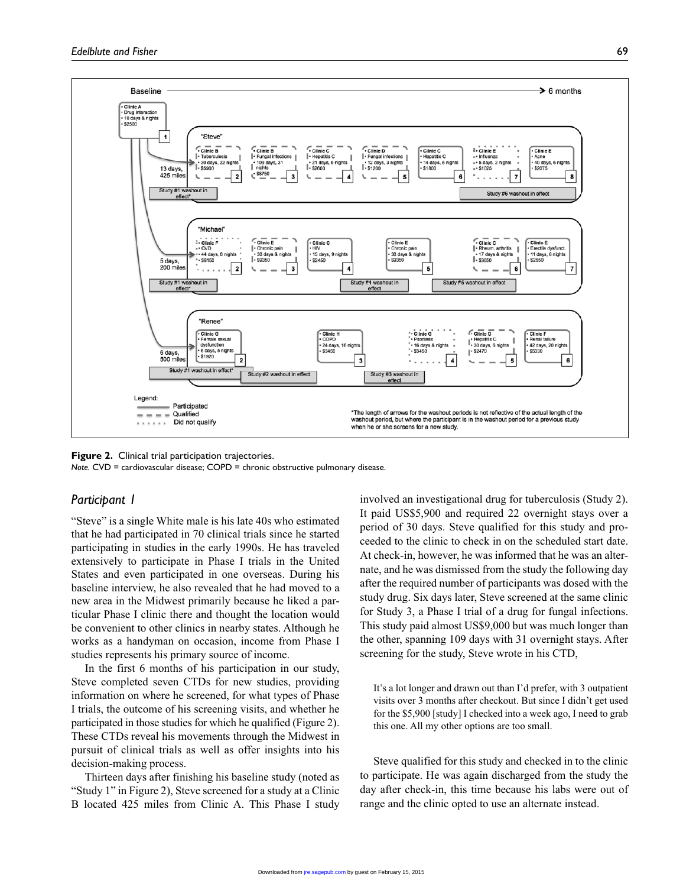

**Figure 2.** Clinical trial participation trajectories.

*Note.* CVD = cardiovascular disease; COPD = chronic obstructive pulmonary disease.

## *Participant 1*

"Steve" is a single White male is his late 40s who estimated that he had participated in 70 clinical trials since he started participating in studies in the early 1990s. He has traveled extensively to participate in Phase I trials in the United States and even participated in one overseas. During his baseline interview, he also revealed that he had moved to a new area in the Midwest primarily because he liked a particular Phase I clinic there and thought the location would be convenient to other clinics in nearby states. Although he works as a handyman on occasion, income from Phase I studies represents his primary source of income.

In the first 6 months of his participation in our study, Steve completed seven CTDs for new studies, providing information on where he screened, for what types of Phase I trials, the outcome of his screening visits, and whether he participated in those studies for which he qualified (Figure 2). These CTDs reveal his movements through the Midwest in pursuit of clinical trials as well as offer insights into his decision-making process.

Thirteen days after finishing his baseline study (noted as "Study 1" in Figure 2), Steve screened for a study at a Clinic B located 425 miles from Clinic A. This Phase I study involved an investigational drug for tuberculosis (Study 2). It paid US\$5,900 and required 22 overnight stays over a period of 30 days. Steve qualified for this study and proceeded to the clinic to check in on the scheduled start date. At check-in, however, he was informed that he was an alternate, and he was dismissed from the study the following day after the required number of participants was dosed with the study drug. Six days later, Steve screened at the same clinic for Study 3, a Phase I trial of a drug for fungal infections. This study paid almost US\$9,000 but was much longer than the other, spanning 109 days with 31 overnight stays. After screening for the study, Steve wrote in his CTD,

It's a lot longer and drawn out than I'd prefer, with 3 outpatient visits over 3 months after checkout. But since I didn't get used for the \$5,900 [study] I checked into a week ago, I need to grab this one. All my other options are too small.

Steve qualified for this study and checked in to the clinic to participate. He was again discharged from the study the day after check-in, this time because his labs were out of range and the clinic opted to use an alternate instead.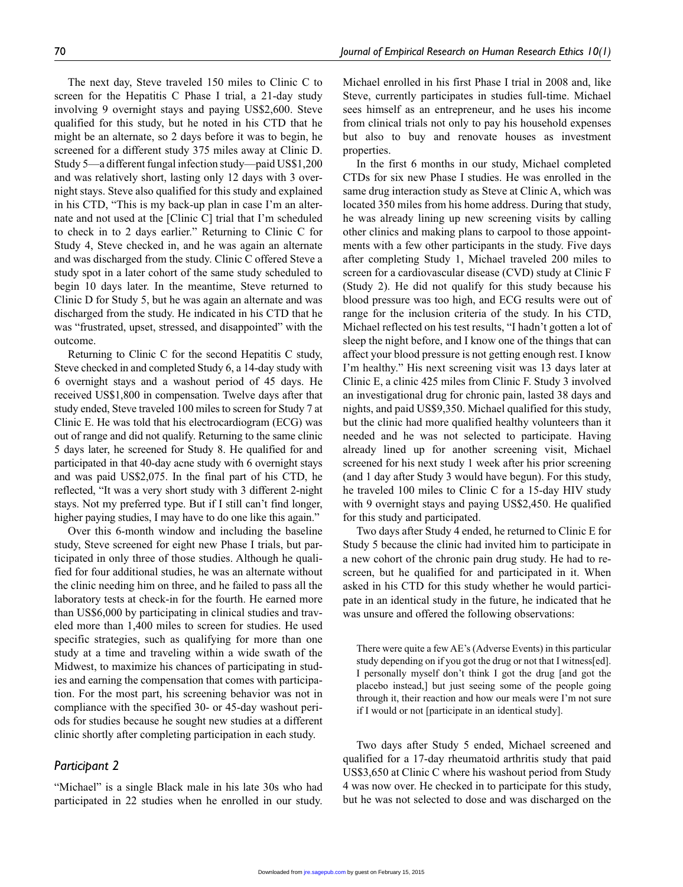The next day, Steve traveled 150 miles to Clinic C to screen for the Hepatitis C Phase I trial, a 21-day study involving 9 overnight stays and paying US\$2,600. Steve qualified for this study, but he noted in his CTD that he might be an alternate, so 2 days before it was to begin, he screened for a different study 375 miles away at Clinic D. Study 5—a different fungal infection study—paid US\$1,200 and was relatively short, lasting only 12 days with 3 overnight stays. Steve also qualified for this study and explained in his CTD, "This is my back-up plan in case I'm an alternate and not used at the [Clinic C] trial that I'm scheduled to check in to 2 days earlier." Returning to Clinic C for Study 4, Steve checked in, and he was again an alternate and was discharged from the study. Clinic C offered Steve a study spot in a later cohort of the same study scheduled to begin 10 days later. In the meantime, Steve returned to Clinic D for Study 5, but he was again an alternate and was discharged from the study. He indicated in his CTD that he was "frustrated, upset, stressed, and disappointed" with the outcome.

Returning to Clinic C for the second Hepatitis C study, Steve checked in and completed Study 6, a 14-day study with 6 overnight stays and a washout period of 45 days. He received US\$1,800 in compensation. Twelve days after that study ended, Steve traveled 100 miles to screen for Study 7 at Clinic E. He was told that his electrocardiogram (ECG) was out of range and did not qualify. Returning to the same clinic 5 days later, he screened for Study 8. He qualified for and participated in that 40-day acne study with 6 overnight stays and was paid US\$2,075. In the final part of his CTD, he reflected, "It was a very short study with 3 different 2-night stays. Not my preferred type. But if I still can't find longer, higher paying studies, I may have to do one like this again."

Over this 6-month window and including the baseline study, Steve screened for eight new Phase I trials, but participated in only three of those studies. Although he qualified for four additional studies, he was an alternate without the clinic needing him on three, and he failed to pass all the laboratory tests at check-in for the fourth. He earned more than US\$6,000 by participating in clinical studies and traveled more than 1,400 miles to screen for studies. He used specific strategies, such as qualifying for more than one study at a time and traveling within a wide swath of the Midwest, to maximize his chances of participating in studies and earning the compensation that comes with participation. For the most part, his screening behavior was not in compliance with the specified 30- or 45-day washout periods for studies because he sought new studies at a different clinic shortly after completing participation in each study.

## *Participant 2*

"Michael" is a single Black male in his late 30s who had participated in 22 studies when he enrolled in our study.

Michael enrolled in his first Phase I trial in 2008 and, like Steve, currently participates in studies full-time. Michael sees himself as an entrepreneur, and he uses his income from clinical trials not only to pay his household expenses but also to buy and renovate houses as investment properties.

In the first 6 months in our study, Michael completed CTDs for six new Phase I studies. He was enrolled in the same drug interaction study as Steve at Clinic A, which was located 350 miles from his home address. During that study, he was already lining up new screening visits by calling other clinics and making plans to carpool to those appointments with a few other participants in the study. Five days after completing Study 1, Michael traveled 200 miles to screen for a cardiovascular disease (CVD) study at Clinic F (Study 2). He did not qualify for this study because his blood pressure was too high, and ECG results were out of range for the inclusion criteria of the study. In his CTD, Michael reflected on his test results, "I hadn't gotten a lot of sleep the night before, and I know one of the things that can affect your blood pressure is not getting enough rest. I know I'm healthy." His next screening visit was 13 days later at Clinic E, a clinic 425 miles from Clinic F. Study 3 involved an investigational drug for chronic pain, lasted 38 days and nights, and paid US\$9,350. Michael qualified for this study, but the clinic had more qualified healthy volunteers than it needed and he was not selected to participate. Having already lined up for another screening visit, Michael screened for his next study 1 week after his prior screening (and 1 day after Study 3 would have begun). For this study, he traveled 100 miles to Clinic C for a 15-day HIV study with 9 overnight stays and paying US\$2,450. He qualified for this study and participated.

Two days after Study 4 ended, he returned to Clinic E for Study 5 because the clinic had invited him to participate in a new cohort of the chronic pain drug study. He had to rescreen, but he qualified for and participated in it. When asked in his CTD for this study whether he would participate in an identical study in the future, he indicated that he was unsure and offered the following observations:

There were quite a few AE's (Adverse Events) in this particular study depending on if you got the drug or not that I witness[ed]. I personally myself don't think I got the drug [and got the placebo instead,] but just seeing some of the people going through it, their reaction and how our meals were I'm not sure if I would or not [participate in an identical study].

Two days after Study 5 ended, Michael screened and qualified for a 17-day rheumatoid arthritis study that paid US\$3,650 at Clinic C where his washout period from Study 4 was now over. He checked in to participate for this study, but he was not selected to dose and was discharged on the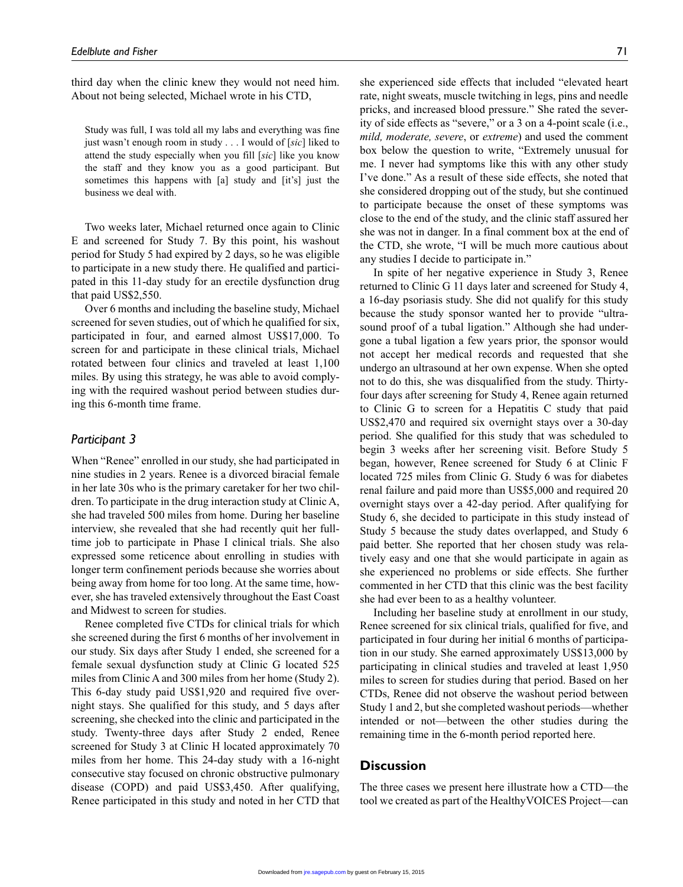third day when the clinic knew they would not need him. About not being selected, Michael wrote in his CTD,

Study was full, I was told all my labs and everything was fine just wasn't enough room in study . . . I would of [*sic*] liked to attend the study especially when you fill [*sic*] like you know the staff and they know you as a good participant. But sometimes this happens with [a] study and [it's] just the business we deal with.

Two weeks later, Michael returned once again to Clinic E and screened for Study 7. By this point, his washout period for Study 5 had expired by 2 days, so he was eligible to participate in a new study there. He qualified and participated in this 11-day study for an erectile dysfunction drug that paid US\$2,550.

Over 6 months and including the baseline study, Michael screened for seven studies, out of which he qualified for six, participated in four, and earned almost US\$17,000. To screen for and participate in these clinical trials, Michael rotated between four clinics and traveled at least 1,100 miles. By using this strategy, he was able to avoid complying with the required washout period between studies during this 6-month time frame.

#### *Participant 3*

When "Renee" enrolled in our study, she had participated in nine studies in 2 years. Renee is a divorced biracial female in her late 30s who is the primary caretaker for her two children. To participate in the drug interaction study at Clinic A, she had traveled 500 miles from home. During her baseline interview, she revealed that she had recently quit her fulltime job to participate in Phase I clinical trials. She also expressed some reticence about enrolling in studies with longer term confinement periods because she worries about being away from home for too long. At the same time, however, she has traveled extensively throughout the East Coast and Midwest to screen for studies.

Renee completed five CTDs for clinical trials for which she screened during the first 6 months of her involvement in our study. Six days after Study 1 ended, she screened for a female sexual dysfunction study at Clinic G located 525 miles from Clinic A and 300 miles from her home (Study 2). This 6-day study paid US\$1,920 and required five overnight stays. She qualified for this study, and 5 days after screening, she checked into the clinic and participated in the study. Twenty-three days after Study 2 ended, Renee screened for Study 3 at Clinic H located approximately 70 miles from her home. This 24-day study with a 16-night consecutive stay focused on chronic obstructive pulmonary disease (COPD) and paid US\$3,450. After qualifying, Renee participated in this study and noted in her CTD that

she experienced side effects that included "elevated heart rate, night sweats, muscle twitching in legs, pins and needle pricks, and increased blood pressure." She rated the severity of side effects as "severe," or a 3 on a 4-point scale (i.e., *mild, moderate, severe*, or *extreme*) and used the comment box below the question to write, "Extremely unusual for me. I never had symptoms like this with any other study I've done." As a result of these side effects, she noted that she considered dropping out of the study, but she continued to participate because the onset of these symptoms was close to the end of the study, and the clinic staff assured her she was not in danger. In a final comment box at the end of the CTD, she wrote, "I will be much more cautious about any studies I decide to participate in."

In spite of her negative experience in Study 3, Renee returned to Clinic G 11 days later and screened for Study 4, a 16-day psoriasis study. She did not qualify for this study because the study sponsor wanted her to provide "ultrasound proof of a tubal ligation." Although she had undergone a tubal ligation a few years prior, the sponsor would not accept her medical records and requested that she undergo an ultrasound at her own expense. When she opted not to do this, she was disqualified from the study. Thirtyfour days after screening for Study 4, Renee again returned to Clinic G to screen for a Hepatitis C study that paid US\$2,470 and required six overnight stays over a 30-day period. She qualified for this study that was scheduled to begin 3 weeks after her screening visit. Before Study 5 began, however, Renee screened for Study 6 at Clinic F located 725 miles from Clinic G. Study 6 was for diabetes renal failure and paid more than US\$5,000 and required 20 overnight stays over a 42-day period. After qualifying for Study 6, she decided to participate in this study instead of Study 5 because the study dates overlapped, and Study 6 paid better. She reported that her chosen study was relatively easy and one that she would participate in again as she experienced no problems or side effects. She further commented in her CTD that this clinic was the best facility she had ever been to as a healthy volunteer.

Including her baseline study at enrollment in our study, Renee screened for six clinical trials, qualified for five, and participated in four during her initial 6 months of participation in our study. She earned approximately US\$13,000 by participating in clinical studies and traveled at least 1,950 miles to screen for studies during that period. Based on her CTDs, Renee did not observe the washout period between Study 1 and 2, but she completed washout periods—whether intended or not—between the other studies during the remaining time in the 6-month period reported here.

## **Discussion**

The three cases we present here illustrate how a CTD—the tool we created as part of the HealthyVOICES Project—can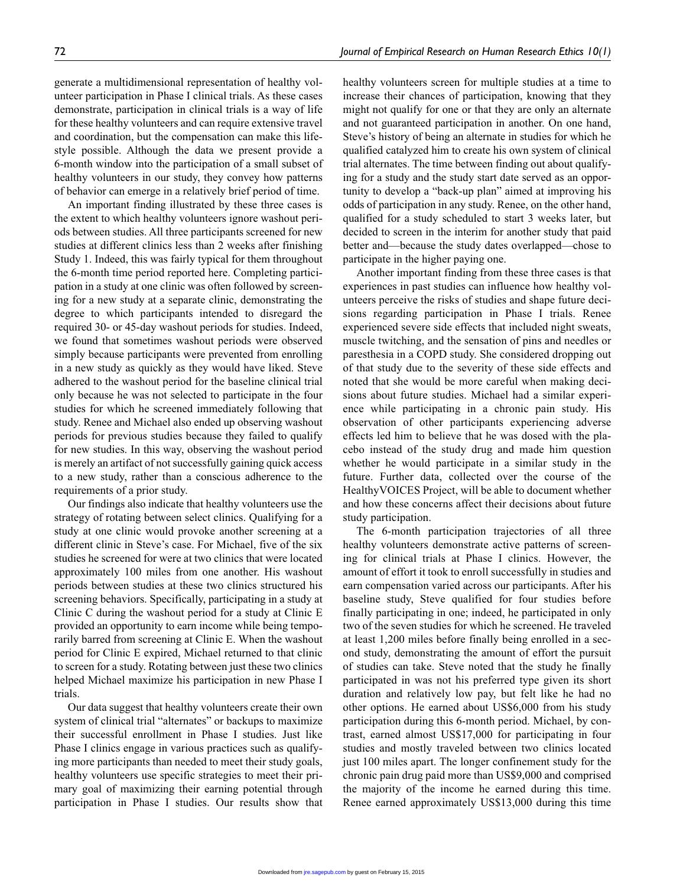generate a multidimensional representation of healthy volunteer participation in Phase I clinical trials. As these cases demonstrate, participation in clinical trials is a way of life for these healthy volunteers and can require extensive travel and coordination, but the compensation can make this lifestyle possible. Although the data we present provide a 6-month window into the participation of a small subset of healthy volunteers in our study, they convey how patterns of behavior can emerge in a relatively brief period of time.

An important finding illustrated by these three cases is the extent to which healthy volunteers ignore washout periods between studies. All three participants screened for new studies at different clinics less than 2 weeks after finishing Study 1. Indeed, this was fairly typical for them throughout the 6-month time period reported here. Completing participation in a study at one clinic was often followed by screening for a new study at a separate clinic, demonstrating the degree to which participants intended to disregard the required 30- or 45-day washout periods for studies. Indeed, we found that sometimes washout periods were observed simply because participants were prevented from enrolling in a new study as quickly as they would have liked. Steve adhered to the washout period for the baseline clinical trial only because he was not selected to participate in the four studies for which he screened immediately following that study. Renee and Michael also ended up observing washout periods for previous studies because they failed to qualify for new studies. In this way, observing the washout period is merely an artifact of not successfully gaining quick access to a new study, rather than a conscious adherence to the requirements of a prior study.

Our findings also indicate that healthy volunteers use the strategy of rotating between select clinics. Qualifying for a study at one clinic would provoke another screening at a different clinic in Steve's case. For Michael, five of the six studies he screened for were at two clinics that were located approximately 100 miles from one another. His washout periods between studies at these two clinics structured his screening behaviors. Specifically, participating in a study at Clinic C during the washout period for a study at Clinic E provided an opportunity to earn income while being temporarily barred from screening at Clinic E. When the washout period for Clinic E expired, Michael returned to that clinic to screen for a study. Rotating between just these two clinics helped Michael maximize his participation in new Phase I trials.

Our data suggest that healthy volunteers create their own system of clinical trial "alternates" or backups to maximize their successful enrollment in Phase I studies. Just like Phase I clinics engage in various practices such as qualifying more participants than needed to meet their study goals, healthy volunteers use specific strategies to meet their primary goal of maximizing their earning potential through participation in Phase I studies. Our results show that healthy volunteers screen for multiple studies at a time to increase their chances of participation, knowing that they might not qualify for one or that they are only an alternate and not guaranteed participation in another. On one hand, Steve's history of being an alternate in studies for which he qualified catalyzed him to create his own system of clinical trial alternates. The time between finding out about qualifying for a study and the study start date served as an opportunity to develop a "back-up plan" aimed at improving his odds of participation in any study. Renee, on the other hand, qualified for a study scheduled to start 3 weeks later, but decided to screen in the interim for another study that paid better and—because the study dates overlapped—chose to participate in the higher paying one.

Another important finding from these three cases is that experiences in past studies can influence how healthy volunteers perceive the risks of studies and shape future decisions regarding participation in Phase I trials. Renee experienced severe side effects that included night sweats, muscle twitching, and the sensation of pins and needles or paresthesia in a COPD study. She considered dropping out of that study due to the severity of these side effects and noted that she would be more careful when making decisions about future studies. Michael had a similar experience while participating in a chronic pain study. His observation of other participants experiencing adverse effects led him to believe that he was dosed with the placebo instead of the study drug and made him question whether he would participate in a similar study in the future. Further data, collected over the course of the HealthyVOICES Project, will be able to document whether and how these concerns affect their decisions about future study participation.

The 6-month participation trajectories of all three healthy volunteers demonstrate active patterns of screening for clinical trials at Phase I clinics. However, the amount of effort it took to enroll successfully in studies and earn compensation varied across our participants. After his baseline study, Steve qualified for four studies before finally participating in one; indeed, he participated in only two of the seven studies for which he screened. He traveled at least 1,200 miles before finally being enrolled in a second study, demonstrating the amount of effort the pursuit of studies can take. Steve noted that the study he finally participated in was not his preferred type given its short duration and relatively low pay, but felt like he had no other options. He earned about US\$6,000 from his study participation during this 6-month period. Michael, by contrast, earned almost US\$17,000 for participating in four studies and mostly traveled between two clinics located just 100 miles apart. The longer confinement study for the chronic pain drug paid more than US\$9,000 and comprised the majority of the income he earned during this time. Renee earned approximately US\$13,000 during this time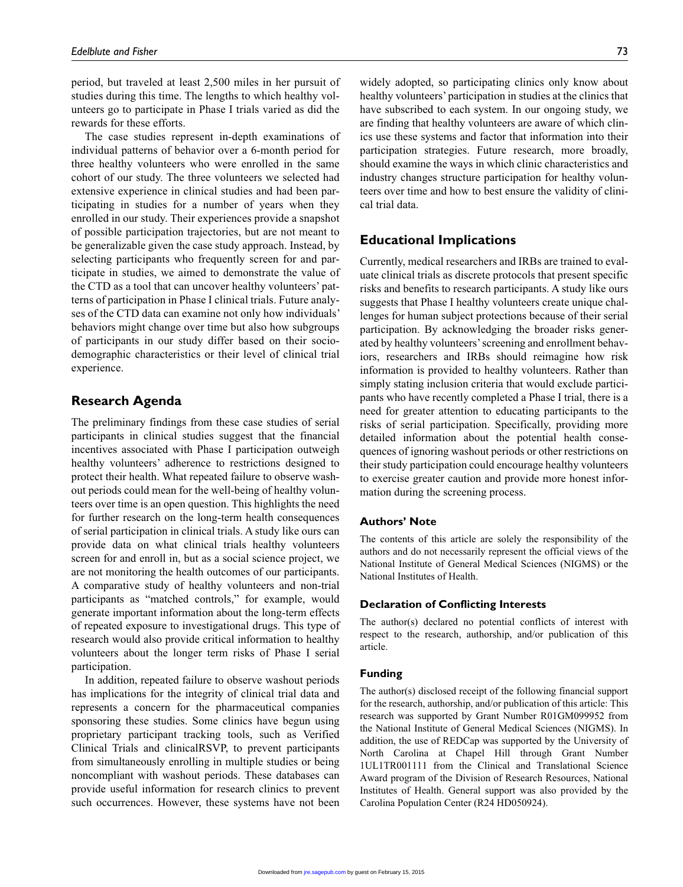period, but traveled at least 2,500 miles in her pursuit of studies during this time. The lengths to which healthy volunteers go to participate in Phase I trials varied as did the rewards for these efforts.

The case studies represent in-depth examinations of individual patterns of behavior over a 6-month period for three healthy volunteers who were enrolled in the same cohort of our study. The three volunteers we selected had extensive experience in clinical studies and had been participating in studies for a number of years when they enrolled in our study. Their experiences provide a snapshot of possible participation trajectories, but are not meant to be generalizable given the case study approach. Instead, by selecting participants who frequently screen for and participate in studies, we aimed to demonstrate the value of the CTD as a tool that can uncover healthy volunteers' patterns of participation in Phase I clinical trials. Future analyses of the CTD data can examine not only how individuals' behaviors might change over time but also how subgroups of participants in our study differ based on their sociodemographic characteristics or their level of clinical trial experience.

# **Research Agenda**

The preliminary findings from these case studies of serial participants in clinical studies suggest that the financial incentives associated with Phase I participation outweigh healthy volunteers' adherence to restrictions designed to protect their health. What repeated failure to observe washout periods could mean for the well-being of healthy volunteers over time is an open question. This highlights the need for further research on the long-term health consequences of serial participation in clinical trials. A study like ours can provide data on what clinical trials healthy volunteers screen for and enroll in, but as a social science project, we are not monitoring the health outcomes of our participants. A comparative study of healthy volunteers and non-trial participants as "matched controls," for example, would generate important information about the long-term effects of repeated exposure to investigational drugs. This type of research would also provide critical information to healthy volunteers about the longer term risks of Phase I serial participation.

In addition, repeated failure to observe washout periods has implications for the integrity of clinical trial data and represents a concern for the pharmaceutical companies sponsoring these studies. Some clinics have begun using proprietary participant tracking tools, such as Verified Clinical Trials and clinicalRSVP, to prevent participants from simultaneously enrolling in multiple studies or being noncompliant with washout periods. These databases can provide useful information for research clinics to prevent such occurrences. However, these systems have not been

widely adopted, so participating clinics only know about healthy volunteers' participation in studies at the clinics that have subscribed to each system. In our ongoing study, we are finding that healthy volunteers are aware of which clinics use these systems and factor that information into their participation strategies. Future research, more broadly, should examine the ways in which clinic characteristics and industry changes structure participation for healthy volunteers over time and how to best ensure the validity of clinical trial data.

## **Educational Implications**

Currently, medical researchers and IRBs are trained to evaluate clinical trials as discrete protocols that present specific risks and benefits to research participants. A study like ours suggests that Phase I healthy volunteers create unique challenges for human subject protections because of their serial participation. By acknowledging the broader risks generated by healthy volunteers' screening and enrollment behaviors, researchers and IRBs should reimagine how risk information is provided to healthy volunteers. Rather than simply stating inclusion criteria that would exclude participants who have recently completed a Phase I trial, there is a need for greater attention to educating participants to the risks of serial participation. Specifically, providing more detailed information about the potential health consequences of ignoring washout periods or other restrictions on their study participation could encourage healthy volunteers to exercise greater caution and provide more honest information during the screening process.

### **Authors' Note**

The contents of this article are solely the responsibility of the authors and do not necessarily represent the official views of the National Institute of General Medical Sciences (NIGMS) or the National Institutes of Health.

#### **Declaration of Conflicting Interests**

The author(s) declared no potential conflicts of interest with respect to the research, authorship, and/or publication of this article.

#### **Funding**

The author(s) disclosed receipt of the following financial support for the research, authorship, and/or publication of this article: This research was supported by Grant Number R01GM099952 from the National Institute of General Medical Sciences (NIGMS). In addition, the use of REDCap was supported by the University of North Carolina at Chapel Hill through Grant Number 1UL1TR001111 from the Clinical and Translational Science Award program of the Division of Research Resources, National Institutes of Health. General support was also provided by the Carolina Population Center (R24 HD050924).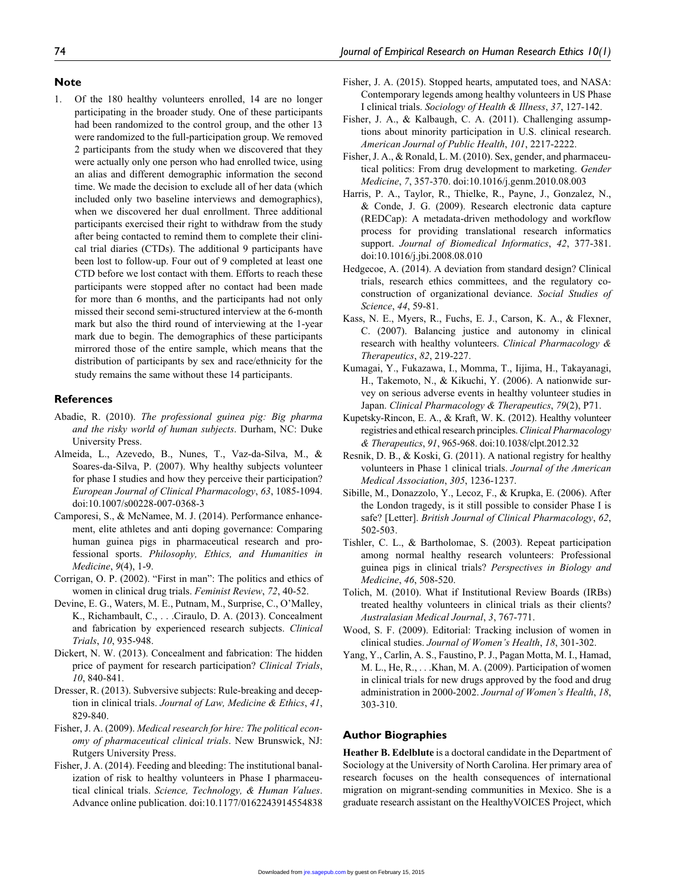#### **Note**

1. Of the 180 healthy volunteers enrolled, 14 are no longer participating in the broader study. One of these participants had been randomized to the control group, and the other 13 were randomized to the full-participation group. We removed 2 participants from the study when we discovered that they were actually only one person who had enrolled twice, using an alias and different demographic information the second time. We made the decision to exclude all of her data (which included only two baseline interviews and demographics), when we discovered her dual enrollment. Three additional participants exercised their right to withdraw from the study after being contacted to remind them to complete their clinical trial diaries (CTDs). The additional 9 participants have been lost to follow-up. Four out of 9 completed at least one CTD before we lost contact with them. Efforts to reach these participants were stopped after no contact had been made for more than 6 months, and the participants had not only missed their second semi-structured interview at the 6-month mark but also the third round of interviewing at the 1-year mark due to begin. The demographics of these participants mirrored those of the entire sample, which means that the distribution of participants by sex and race/ethnicity for the study remains the same without these 14 participants.

#### **References**

- Abadie, R. (2010). *The professional guinea pig: Big pharma and the risky world of human subjects*. Durham, NC: Duke University Press.
- Almeida, L., Azevedo, B., Nunes, T., Vaz-da-Silva, M., & Soares-da-Silva, P. (2007). Why healthy subjects volunteer for phase I studies and how they perceive their participation? *European Journal of Clinical Pharmacology*, *63*, 1085-1094. doi:10.1007/s00228-007-0368-3
- Camporesi, S., & McNamee, M. J. (2014). Performance enhancement, elite athletes and anti doping governance: Comparing human guinea pigs in pharmaceutical research and professional sports. *Philosophy, Ethics, and Humanities in Medicine*, *9*(4), 1-9.
- Corrigan, O. P. (2002). "First in man": The politics and ethics of women in clinical drug trials. *Feminist Review*, *72*, 40-52.
- Devine, E. G., Waters, M. E., Putnam, M., Surprise, C., O'Malley, K., Richambault, C., . . .Ciraulo, D. A. (2013). Concealment and fabrication by experienced research subjects. *Clinical Trials*, *10*, 935-948.
- Dickert, N. W. (2013). Concealment and fabrication: The hidden price of payment for research participation? *Clinical Trials*, *10*, 840-841.
- Dresser, R. (2013). Subversive subjects: Rule-breaking and deception in clinical trials. *Journal of Law, Medicine & Ethics*, *41*, 829-840.
- Fisher, J. A. (2009). *Medical research for hire: The political economy of pharmaceutical clinical trials*. New Brunswick, NJ: Rutgers University Press.
- Fisher, J. A. (2014). Feeding and bleeding: The institutional banalization of risk to healthy volunteers in Phase I pharmaceutical clinical trials. *Science, Technology, & Human Values*. Advance online publication. doi:10.1177/0162243914554838
- Fisher, J. A. (2015). Stopped hearts, amputated toes, and NASA: Contemporary legends among healthy volunteers in US Phase I clinical trials. *Sociology of Health & Illness*, *37*, 127-142.
- Fisher, J. A., & Kalbaugh, C. A. (2011). Challenging assumptions about minority participation in U.S. clinical research. *American Journal of Public Health*, *101*, 2217-2222.
- Fisher, J. A., & Ronald, L. M. (2010). Sex, gender, and pharmaceutical politics: From drug development to marketing. *Gender Medicine*, *7*, 357-370. doi:10.1016/j.genm.2010.08.003
- Harris, P. A., Taylor, R., Thielke, R., Payne, J., Gonzalez, N., & Conde, J. G. (2009). Research electronic data capture (REDCap): A metadata-driven methodology and workflow process for providing translational research informatics support. *Journal of Biomedical Informatics*, *42*, 377-381. doi:10.1016/j.jbi.2008.08.010
- Hedgecoe, A. (2014). A deviation from standard design? Clinical trials, research ethics committees, and the regulatory coconstruction of organizational deviance. *Social Studies of Science*, *44*, 59-81.
- Kass, N. E., Myers, R., Fuchs, E. J., Carson, K. A., & Flexner, C. (2007). Balancing justice and autonomy in clinical research with healthy volunteers. *Clinical Pharmacology & Therapeutics*, *82*, 219-227.
- Kumagai, Y., Fukazawa, I., Momma, T., Iijima, H., Takayanagi, H., Takemoto, N., & Kikuchi, Y. (2006). A nationwide survey on serious adverse events in healthy volunteer studies in Japan. *Clinical Pharmacology & Therapeutics*, *79*(2), P71.
- Kupetsky-Rincon, E. A., & Kraft, W. K. (2012). Healthy volunteer registries and ethical research principles. *Clinical Pharmacology & Therapeutics*, *91*, 965-968. doi:10.1038/clpt.2012.32
- Resnik, D. B., & Koski, G. (2011). A national registry for healthy volunteers in Phase 1 clinical trials. *Journal of the American Medical Association*, *305*, 1236-1237.
- Sibille, M., Donazzolo, Y., Lecoz, F., & Krupka, E. (2006). After the London tragedy, is it still possible to consider Phase I is safe? [Letter]. *British Journal of Clinical Pharmacology*, *62*, 502-503.
- Tishler, C. L., & Bartholomae, S. (2003). Repeat participation among normal healthy research volunteers: Professional guinea pigs in clinical trials? *Perspectives in Biology and Medicine*, *46*, 508-520.
- Tolich, M. (2010). What if Institutional Review Boards (IRBs) treated healthy volunteers in clinical trials as their clients? *Australasian Medical Journal*, *3*, 767-771.
- Wood, S. F. (2009). Editorial: Tracking inclusion of women in clinical studies. *Journal of Women's Health*, *18*, 301-302.
- Yang, Y., Carlin, A. S., Faustino, P. J., Pagan Motta, M. I., Hamad, M. L., He, R., . . .Khan, M. A. (2009). Participation of women in clinical trials for new drugs approved by the food and drug administration in 2000-2002. *Journal of Women's Health*, *18*, 303-310.

#### **Author Biographies**

**Heather B. Edelblute** is a doctoral candidate in the Department of Sociology at the University of North Carolina. Her primary area of research focuses on the health consequences of international migration on migrant-sending communities in Mexico. She is a graduate research assistant on the HealthyVOICES Project, which